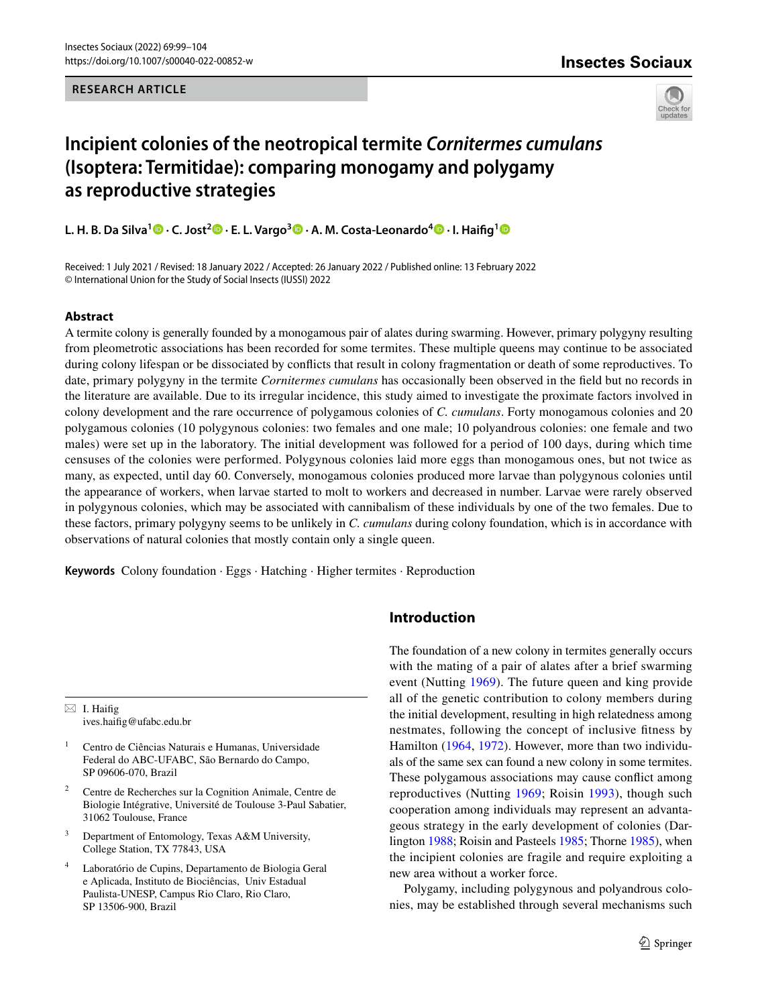#### **RESEARCH ARTICLE**

# **Insectes Sociaux**



# **Incipient colonies of the neotropical termite** *Cornitermes cumulans* **(Isoptera: Termitidae): comparing monogamy and polygamy as reproductive strategies**

**L. H. B. Da Silva[1](http://orcid.org/0000-0003-0595-2775) · C. Jost2 · E. L. Vargo<sup>3</sup> · A. M. Costa‑Leonardo4 · I. Haifg[1](http://orcid.org/0000-0003-4749-8945)**

Received: 1 July 2021 / Revised: 18 January 2022 / Accepted: 26 January 2022 / Published online: 13 February 2022 © International Union for the Study of Social Insects (IUSSI) 2022

#### **Abstract**

A termite colony is generally founded by a monogamous pair of alates during swarming. However, primary polygyny resulting from pleometrotic associations has been recorded for some termites. These multiple queens may continue to be associated during colony lifespan or be dissociated by conficts that result in colony fragmentation or death of some reproductives. To date, primary polygyny in the termite *Cornitermes cumulans* has occasionally been observed in the feld but no records in the literature are available. Due to its irregular incidence, this study aimed to investigate the proximate factors involved in colony development and the rare occurrence of polygamous colonies of *C. cumulans*. Forty monogamous colonies and 20 polygamous colonies (10 polygynous colonies: two females and one male; 10 polyandrous colonies: one female and two males) were set up in the laboratory. The initial development was followed for a period of 100 days, during which time censuses of the colonies were performed. Polygynous colonies laid more eggs than monogamous ones, but not twice as many, as expected, until day 60. Conversely, monogamous colonies produced more larvae than polygynous colonies until the appearance of workers, when larvae started to molt to workers and decreased in number. Larvae were rarely observed in polygynous colonies, which may be associated with cannibalism of these individuals by one of the two females. Due to these factors, primary polygyny seems to be unlikely in *C. cumulans* during colony foundation, which is in accordance with observations of natural colonies that mostly contain only a single queen.

**Keywords** Colony foundation · Eggs · Hatching · Higher termites · Reproduction

 $\boxtimes$  I. Haifig ives.haifg@ufabc.edu.br

- <sup>1</sup> Centro de Ciências Naturais e Humanas, Universidade Federal do ABC-UFABC, São Bernardo do Campo, SP 09606-070, Brazil
- <sup>2</sup> Centre de Recherches sur la Cognition Animale, Centre de Biologie Intégrative, Université de Toulouse 3-Paul Sabatier, 31062 Toulouse, France
- <sup>3</sup> Department of Entomology, Texas A&M University, College Station, TX 77843, USA
- <sup>4</sup> Laboratório de Cupins, Departamento de Biologia Geral e Aplicada, Instituto de Biociências, Univ Estadual Paulista-UNESP, Campus Rio Claro, Rio Claro, SP 13506-900, Brazil

# **Introduction**

The foundation of a new colony in termites generally occurs with the mating of a pair of alates after a brief swarming event (Nutting [1969\)](#page-5-0). The future queen and king provide all of the genetic contribution to colony members during the initial development, resulting in high relatedness among nestmates, following the concept of inclusive ftness by Hamilton [\(1964,](#page-5-1) [1972](#page-5-2)). However, more than two individuals of the same sex can found a new colony in some termites. These polygamous associations may cause confict among reproductives (Nutting [1969;](#page-5-0) Roisin [1993](#page-5-3)), though such cooperation among individuals may represent an advantageous strategy in the early development of colonies (Darlington [1988](#page-5-4); Roisin and Pasteels [1985;](#page-5-5) Thorne [1985\)](#page-5-6), when the incipient colonies are fragile and require exploiting a new area without a worker force.

Polygamy, including polygynous and polyandrous colonies, may be established through several mechanisms such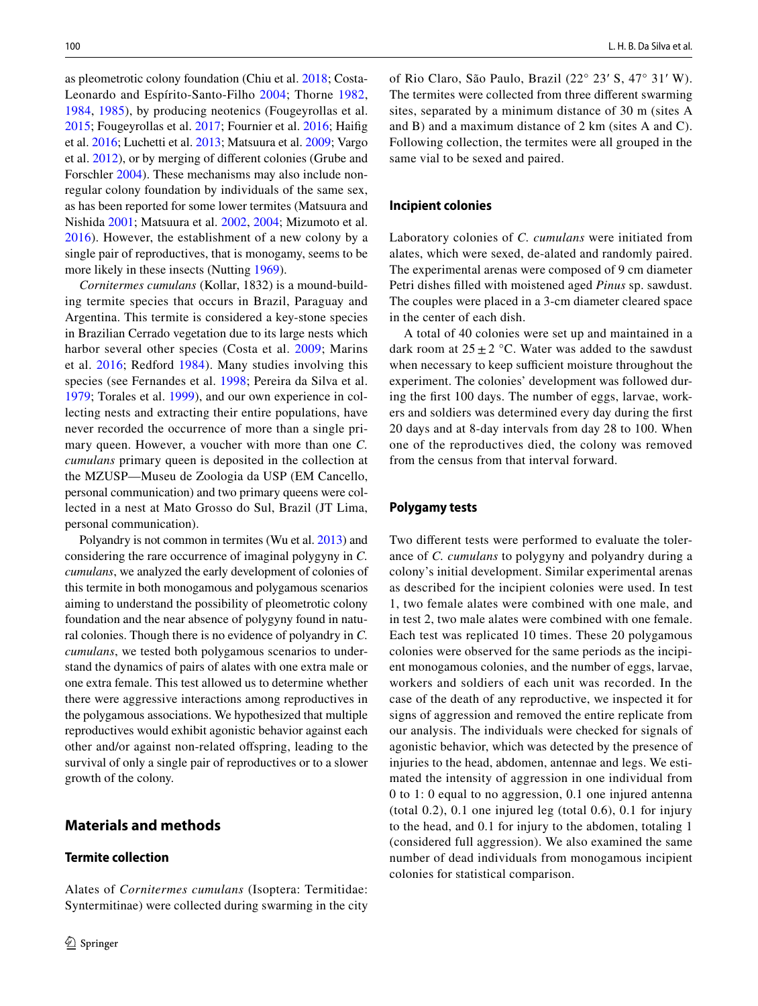as pleometrotic colony foundation (Chiu et al. [2018;](#page-5-7) Costa-Leonardo and Espírito-Santo-Filho [2004](#page-5-8); Thorne [1982,](#page-5-9) [1984,](#page-5-10) [1985](#page-5-6)), by producing neotenics (Fougeyrollas et al. [2015](#page-5-11); Fougeyrollas et al. [2017;](#page-5-12) Fournier et al. [2016;](#page-5-13) Haifg et al. [2016](#page-5-14); Luchetti et al. [2013;](#page-5-15) Matsuura et al. [2009](#page-5-16); Vargo et al. [2012\)](#page-5-17), or by merging of diferent colonies (Grube and Forschler [2004\)](#page-5-18). These mechanisms may also include nonregular colony foundation by individuals of the same sex, as has been reported for some lower termites (Matsuura and Nishida [2001](#page-5-19); Matsuura et al. [2002](#page-5-20), [2004](#page-5-21); Mizumoto et al. [2016\)](#page-5-22). However, the establishment of a new colony by a single pair of reproductives, that is monogamy, seems to be more likely in these insects (Nutting [1969\)](#page-5-0).

*Cornitermes cumulans* (Kollar, 1832) is a mound-building termite species that occurs in Brazil, Paraguay and Argentina. This termite is considered a key-stone species in Brazilian Cerrado vegetation due to its large nests which harbor several other species (Costa et al. [2009;](#page-5-23) Marins et al. [2016;](#page-5-24) Redford [1984](#page-5-25)). Many studies involving this species (see Fernandes et al. [1998;](#page-5-26) Pereira da Silva et al. [1979](#page-5-27); Torales et al. [1999](#page-5-28)), and our own experience in collecting nests and extracting their entire populations, have never recorded the occurrence of more than a single primary queen. However, a voucher with more than one *C. cumulans* primary queen is deposited in the collection at the MZUSP—Museu de Zoologia da USP (EM Cancello, personal communication) and two primary queens were collected in a nest at Mato Grosso do Sul, Brazil (JT Lima, personal communication).

Polyandry is not common in termites (Wu et al. [2013](#page-5-29)) and considering the rare occurrence of imaginal polygyny in *C. cumulans*, we analyzed the early development of colonies of this termite in both monogamous and polygamous scenarios aiming to understand the possibility of pleometrotic colony foundation and the near absence of polygyny found in natural colonies. Though there is no evidence of polyandry in *C. cumulans*, we tested both polygamous scenarios to understand the dynamics of pairs of alates with one extra male or one extra female. This test allowed us to determine whether there were aggressive interactions among reproductives in the polygamous associations. We hypothesized that multiple reproductives would exhibit agonistic behavior against each other and/or against non-related ofspring, leading to the survival of only a single pair of reproductives or to a slower growth of the colony.

## **Materials and methods**

#### **Termite collection**

Alates of *Cornitermes cumulans* (Isoptera: Termitidae: Syntermitinae) were collected during swarming in the city of Rio Claro, São Paulo, Brazil (22° 23′ S, 47° 31′ W). The termites were collected from three diferent swarming sites, separated by a minimum distance of 30 m (sites A and B) and a maximum distance of 2 km (sites A and C). Following collection, the termites were all grouped in the same vial to be sexed and paired.

#### **Incipient colonies**

Laboratory colonies of *C. cumulans* were initiated from alates, which were sexed, de-alated and randomly paired. The experimental arenas were composed of 9 cm diameter Petri dishes flled with moistened aged *Pinus* sp. sawdust. The couples were placed in a 3-cm diameter cleared space in the center of each dish.

A total of 40 colonies were set up and maintained in a dark room at  $25 \pm 2$  °C. Water was added to the sawdust when necessary to keep sufficient moisture throughout the experiment. The colonies' development was followed during the frst 100 days. The number of eggs, larvae, workers and soldiers was determined every day during the frst 20 days and at 8-day intervals from day 28 to 100. When one of the reproductives died, the colony was removed from the census from that interval forward.

#### **Polygamy tests**

Two diferent tests were performed to evaluate the tolerance of *C. cumulans* to polygyny and polyandry during a colony's initial development. Similar experimental arenas as described for the incipient colonies were used. In test 1, two female alates were combined with one male, and in test 2, two male alates were combined with one female. Each test was replicated 10 times. These 20 polygamous colonies were observed for the same periods as the incipient monogamous colonies, and the number of eggs, larvae, workers and soldiers of each unit was recorded. In the case of the death of any reproductive, we inspected it for signs of aggression and removed the entire replicate from our analysis. The individuals were checked for signals of agonistic behavior, which was detected by the presence of injuries to the head, abdomen, antennae and legs. We estimated the intensity of aggression in one individual from 0 to 1: 0 equal to no aggression, 0.1 one injured antenna (total 0.2), 0.1 one injured leg (total 0.6), 0.1 for injury to the head, and 0.1 for injury to the abdomen, totaling 1 (considered full aggression). We also examined the same number of dead individuals from monogamous incipient colonies for statistical comparison.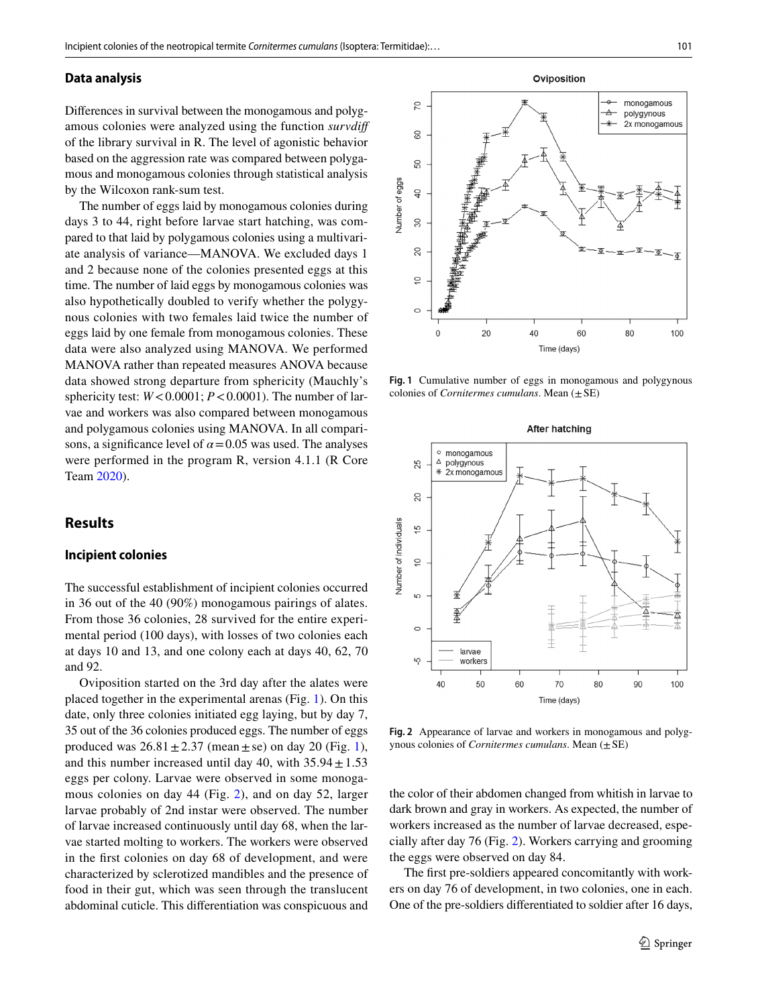#### **Data analysis**

Diferences in survival between the monogamous and polygamous colonies were analyzed using the function *survdif* of the library survival in R. The level of agonistic behavior based on the aggression rate was compared between polygamous and monogamous colonies through statistical analysis by the Wilcoxon rank-sum test.

The number of eggs laid by monogamous colonies during days 3 to 44, right before larvae start hatching, was compared to that laid by polygamous colonies using a multivariate analysis of variance—MANOVA. We excluded days 1 and 2 because none of the colonies presented eggs at this time. The number of laid eggs by monogamous colonies was also hypothetically doubled to verify whether the polygynous colonies with two females laid twice the number of eggs laid by one female from monogamous colonies. These data were also analyzed using MANOVA. We performed MANOVA rather than repeated measures ANOVA because data showed strong departure from sphericity (Mauchly's sphericity test:  $W < 0.0001$ ;  $P < 0.0001$ ). The number of larvae and workers was also compared between monogamous and polygamous colonies using MANOVA. In all comparisons, a significance level of  $\alpha$  = 0.05 was used. The analyses were performed in the program R, version 4.1.1 (R Core Team [2020](#page-5-30)).

#### **Results**

#### **Incipient colonies**

The successful establishment of incipient colonies occurred in 36 out of the 40 (90%) monogamous pairings of alates. From those 36 colonies, 28 survived for the entire experimental period (100 days), with losses of two colonies each at days 10 and 13, and one colony each at days 40, 62, 70 and 92.

Oviposition started on the 3rd day after the alates were placed together in the experimental arenas (Fig. [1](#page-2-0)). On this date, only three colonies initiated egg laying, but by day 7, 35 out of the 36 colonies produced eggs. The number of eggs produced was  $26.81 \pm 2.37$  $26.81 \pm 2.37$  $26.81 \pm 2.37$  (mean  $\pm$  se) on day 20 (Fig. 1), and this number increased until day 40, with  $35.94 \pm 1.53$ eggs per colony. Larvae were observed in some monogamous colonies on day 44 (Fig. [2](#page-2-1)), and on day 52, larger larvae probably of 2nd instar were observed. The number of larvae increased continuously until day 68, when the larvae started molting to workers. The workers were observed in the frst colonies on day 68 of development, and were characterized by sclerotized mandibles and the presence of food in their gut, which was seen through the translucent abdominal cuticle. This diferentiation was conspicuous and

50 Number of eggs  $\overline{4}$ 30 20  $\overline{C}$  $\overline{C}$  $\overline{0}$  $20$ 40 60 80 100

Oviposition

20

80

<span id="page-2-0"></span>**Fig. 1** Cumulative number of eggs in monogamous and polygynous colonies of *Cornitermes cumulans*. Mean (±SE)

Time (days)



<span id="page-2-1"></span>**Fig. 2** Appearance of larvae and workers in monogamous and polygynous colonies of *Cornitermes cumulans*. Mean (±SE)

the color of their abdomen changed from whitish in larvae to dark brown and gray in workers. As expected, the number of workers increased as the number of larvae decreased, especially after day 76 (Fig. [2](#page-2-1)). Workers carrying and grooming the eggs were observed on day 84.

The first pre-soldiers appeared concomitantly with workers on day 76 of development, in two colonies, one in each. One of the pre-soldiers diferentiated to soldier after 16 days,

monogamous

polygynous  $2x$  monogamous

 $\overline{\phantom{a}}$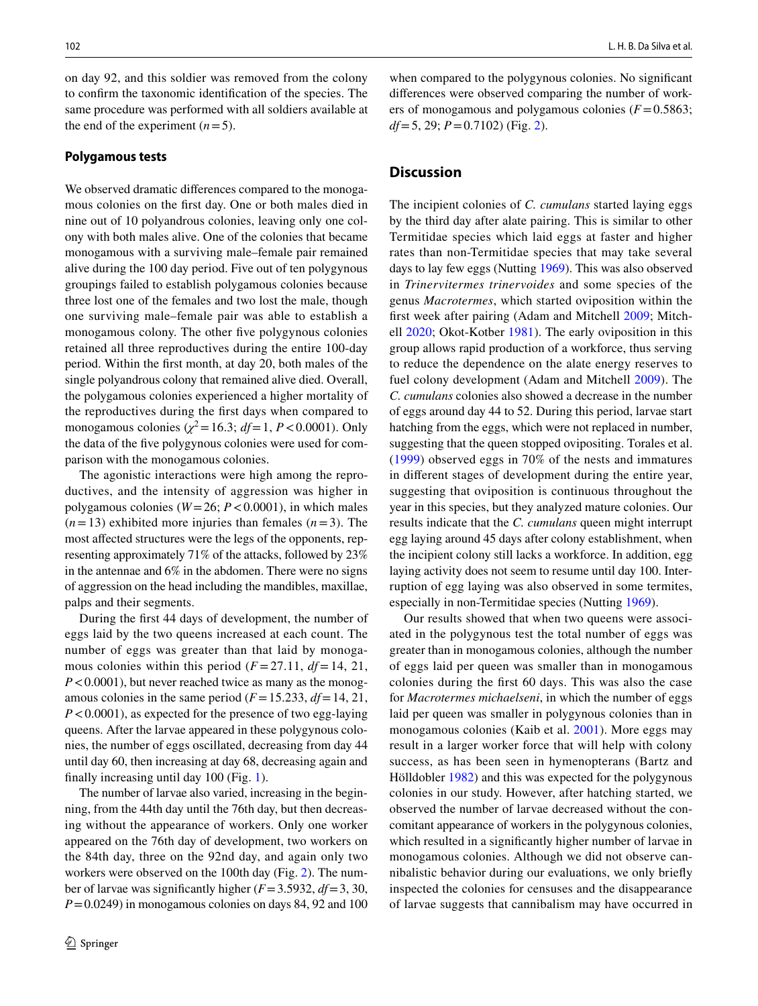on day 92, and this soldier was removed from the colony to confrm the taxonomic identifcation of the species. The same procedure was performed with all soldiers available at the end of the experiment  $(n=5)$ .

#### **Polygamous tests**

We observed dramatic diferences compared to the monogamous colonies on the frst day. One or both males died in nine out of 10 polyandrous colonies, leaving only one colony with both males alive. One of the colonies that became monogamous with a surviving male–female pair remained alive during the 100 day period. Five out of ten polygynous groupings failed to establish polygamous colonies because three lost one of the females and two lost the male, though one surviving male–female pair was able to establish a monogamous colony. The other five polygynous colonies retained all three reproductives during the entire 100-day period. Within the frst month, at day 20, both males of the single polyandrous colony that remained alive died. Overall, the polygamous colonies experienced a higher mortality of the reproductives during the frst days when compared to monogamous colonies ( $\chi^2$  = 16.3; *df* = 1, *P* < 0.0001). Only the data of the fve polygynous colonies were used for comparison with the monogamous colonies.

The agonistic interactions were high among the reproductives, and the intensity of aggression was higher in polygamous colonies (*W*=26; *P*<0.0001), in which males  $(n=13)$  exhibited more injuries than females  $(n=3)$ . The most afected structures were the legs of the opponents, representing approximately 71% of the attacks, followed by 23% in the antennae and 6% in the abdomen. There were no signs of aggression on the head including the mandibles, maxillae, palps and their segments.

During the frst 44 days of development, the number of eggs laid by the two queens increased at each count. The number of eggs was greater than that laid by monogamous colonies within this period  $(F = 27.11, df = 14, 21,$ *P*<0.0001), but never reached twice as many as the monogamous colonies in the same period  $(F = 15.233, df = 14, 21,$ *P*<0.0001), as expected for the presence of two egg-laying queens. After the larvae appeared in these polygynous colonies, the number of eggs oscillated, decreasing from day 44 until day 60, then increasing at day 68, decreasing again and fnally increasing until day 100 (Fig. [1](#page-2-0)).

The number of larvae also varied, increasing in the beginning, from the 44th day until the 76th day, but then decreasing without the appearance of workers. Only one worker appeared on the 76th day of development, two workers on the 84th day, three on the 92nd day, and again only two workers were observed on the 100th day (Fig. [2\)](#page-2-1). The number of larvae was signifcantly higher (*F*=3.5932, *df*=3, 30, *P*=0.0249) in monogamous colonies on days 84, 92 and 100 when compared to the polygynous colonies. No signifcant diferences were observed comparing the number of workers of monogamous and polygamous colonies  $(F=0.5863;$ *df*=5, 29; *P*=0.7102) (Fig. [2\)](#page-2-1).

### **Discussion**

The incipient colonies of *C. cumulans* started laying eggs by the third day after alate pairing. This is similar to other Termitidae species which laid eggs at faster and higher rates than non-Termitidae species that may take several days to lay few eggs (Nutting [1969](#page-5-0)). This was also observed in *Trinervitermes trinervoides* and some species of the genus *Macrotermes*, which started oviposition within the frst week after pairing (Adam and Mitchell [2009;](#page-4-0) Mitchell [2020;](#page-5-31) Okot-Kotber [1981\)](#page-5-32). The early oviposition in this group allows rapid production of a workforce, thus serving to reduce the dependence on the alate energy reserves to fuel colony development (Adam and Mitchell [2009](#page-4-0)). The *C. cumulans* colonies also showed a decrease in the number of eggs around day 44 to 52. During this period, larvae start hatching from the eggs, which were not replaced in number, suggesting that the queen stopped ovipositing. Torales et al. ([1999](#page-5-28)) observed eggs in 70% of the nests and immatures in diferent stages of development during the entire year, suggesting that oviposition is continuous throughout the year in this species, but they analyzed mature colonies. Our results indicate that the *C. cumulans* queen might interrupt egg laying around 45 days after colony establishment, when the incipient colony still lacks a workforce. In addition, egg laying activity does not seem to resume until day 100. Interruption of egg laying was also observed in some termites, especially in non-Termitidae species (Nutting [1969\)](#page-5-0).

Our results showed that when two queens were associated in the polygynous test the total number of eggs was greater than in monogamous colonies, although the number of eggs laid per queen was smaller than in monogamous colonies during the frst 60 days. This was also the case for *Macrotermes michaelseni*, in which the number of eggs laid per queen was smaller in polygynous colonies than in monogamous colonies (Kaib et al. [2001](#page-5-33)). More eggs may result in a larger worker force that will help with colony success, as has been seen in hymenopterans (Bartz and Hölldobler [1982\)](#page-4-1) and this was expected for the polygynous colonies in our study. However, after hatching started, we observed the number of larvae decreased without the concomitant appearance of workers in the polygynous colonies, which resulted in a signifcantly higher number of larvae in monogamous colonies. Although we did not observe cannibalistic behavior during our evaluations, we only briefy inspected the colonies for censuses and the disappearance of larvae suggests that cannibalism may have occurred in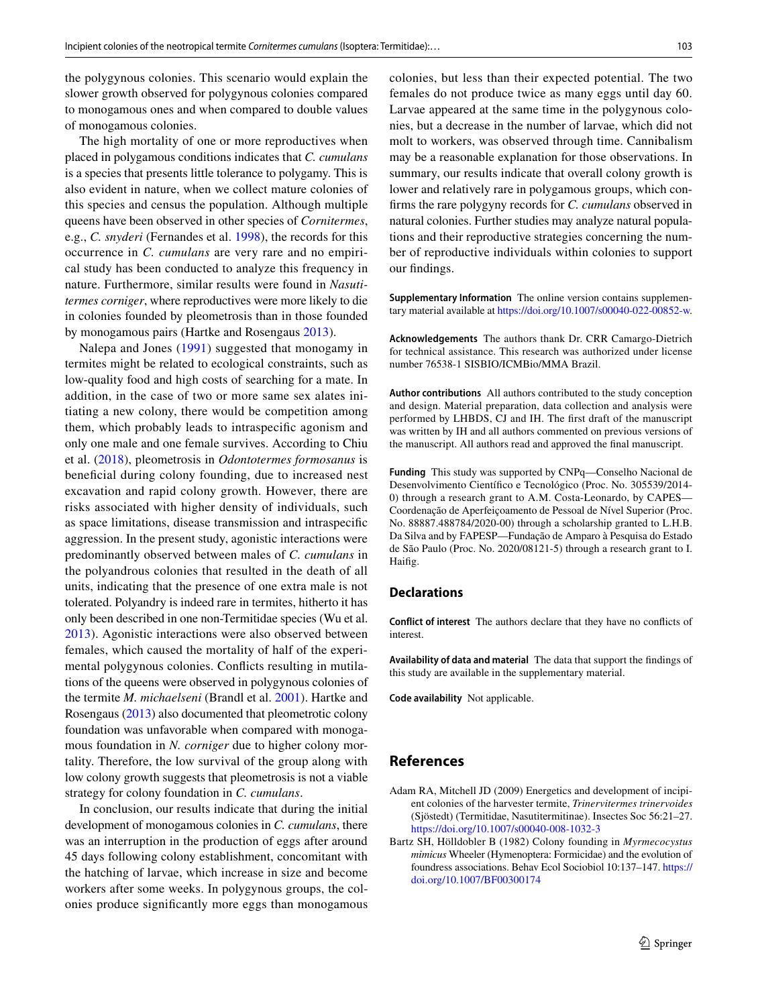the polygynous colonies. This scenario would explain the slower growth observed for polygynous colonies compared to monogamous ones and when compared to double values of monogamous colonies.

The high mortality of one or more reproductives when placed in polygamous conditions indicates that *C. cumulans* is a species that presents little tolerance to polygamy. This is also evident in nature, when we collect mature colonies of this species and census the population. Although multiple queens have been observed in other species of *Cornitermes*, e.g., *C. snyderi* (Fernandes et al. [1998\)](#page-5-26), the records for this occurrence in *C. cumulans* are very rare and no empirical study has been conducted to analyze this frequency in nature. Furthermore, similar results were found in *Nasutitermes corniger*, where reproductives were more likely to die in colonies founded by pleometrosis than in those founded by monogamous pairs (Hartke and Rosengaus [2013\)](#page-5-34).

Nalepa and Jones ([1991\)](#page-5-35) suggested that monogamy in termites might be related to ecological constraints, such as low-quality food and high costs of searching for a mate. In addition, in the case of two or more same sex alates initiating a new colony, there would be competition among them, which probably leads to intraspecifc agonism and only one male and one female survives. According to Chiu et al. [\(2018\)](#page-5-7), pleometrosis in *Odontotermes formosanus* is benefcial during colony founding, due to increased nest excavation and rapid colony growth. However, there are risks associated with higher density of individuals, such as space limitations, disease transmission and intraspecifc aggression. In the present study, agonistic interactions were predominantly observed between males of *C. cumulans* in the polyandrous colonies that resulted in the death of all units, indicating that the presence of one extra male is not tolerated. Polyandry is indeed rare in termites, hitherto it has only been described in one non-Termitidae species (Wu et al. [2013](#page-5-29)). Agonistic interactions were also observed between females, which caused the mortality of half of the experimental polygynous colonies. Conficts resulting in mutilations of the queens were observed in polygynous colonies of the termite *M. michaelseni* (Brandl et al. [2001](#page-5-36)). Hartke and Rosengaus [\(2013\)](#page-5-34) also documented that pleometrotic colony foundation was unfavorable when compared with monogamous foundation in *N. corniger* due to higher colony mortality. Therefore, the low survival of the group along with low colony growth suggests that pleometrosis is not a viable strategy for colony foundation in *C. cumulans*.

In conclusion, our results indicate that during the initial development of monogamous colonies in *C. cumulans*, there was an interruption in the production of eggs after around 45 days following colony establishment, concomitant with the hatching of larvae, which increase in size and become workers after some weeks. In polygynous groups, the colonies produce signifcantly more eggs than monogamous colonies, but less than their expected potential. The two females do not produce twice as many eggs until day 60. Larvae appeared at the same time in the polygynous colonies, but a decrease in the number of larvae, which did not molt to workers, was observed through time. Cannibalism may be a reasonable explanation for those observations. In summary, our results indicate that overall colony growth is lower and relatively rare in polygamous groups, which confrms the rare polygyny records for *C. cumulans* observed in natural colonies. Further studies may analyze natural populations and their reproductive strategies concerning the number of reproductive individuals within colonies to support our fndings.

**Supplementary Information** The online version contains supplementary material available at<https://doi.org/10.1007/s00040-022-00852-w>.

**Acknowledgements** The authors thank Dr. CRR Camargo-Dietrich for technical assistance. This research was authorized under license number 76538-1 SISBIO/ICMBio/MMA Brazil.

**Author contributions** All authors contributed to the study conception and design. Material preparation, data collection and analysis were performed by LHBDS, CJ and IH. The frst draft of the manuscript was written by IH and all authors commented on previous versions of the manuscript. All authors read and approved the fnal manuscript.

**Funding** This study was supported by CNPq—Conselho Nacional de Desenvolvimento Científco e Tecnológico (Proc. No. 305539/2014- 0) through a research grant to A.M. Costa-Leonardo, by CAPES— Coordenação de Aperfeiçoamento de Pessoal de Nível Superior (Proc. No. 88887.488784/2020-00) through a scholarship granted to L.H.B. Da Silva and by FAPESP—Fundação de Amparo à Pesquisa do Estado de São Paulo (Proc. No. 2020/08121-5) through a research grant to I. Haifg.

#### **Declarations**

**Conflict of interest** The authors declare that they have no conficts of interest.

**Availability of data and material** The data that support the fndings of this study are available in the supplementary material.

**Code availability** Not applicable.

#### **References**

- <span id="page-4-0"></span>Adam RA, Mitchell JD (2009) Energetics and development of incipient colonies of the harvester termite, *Trinervitermes trinervoides* (Sjöstedt) (Termitidae, Nasutitermitinae). Insectes Soc 56:21–27. <https://doi.org/10.1007/s00040-008-1032-3>
- <span id="page-4-1"></span>Bartz SH, Hölldobler B (1982) Colony founding in *Myrmecocystus mimicus* Wheeler (Hymenoptera: Formicidae) and the evolution of foundress associations. Behav Ecol Sociobiol 10:137–147. [https://](https://doi.org/10.1007/BF00300174) [doi.org/10.1007/BF00300174](https://doi.org/10.1007/BF00300174)